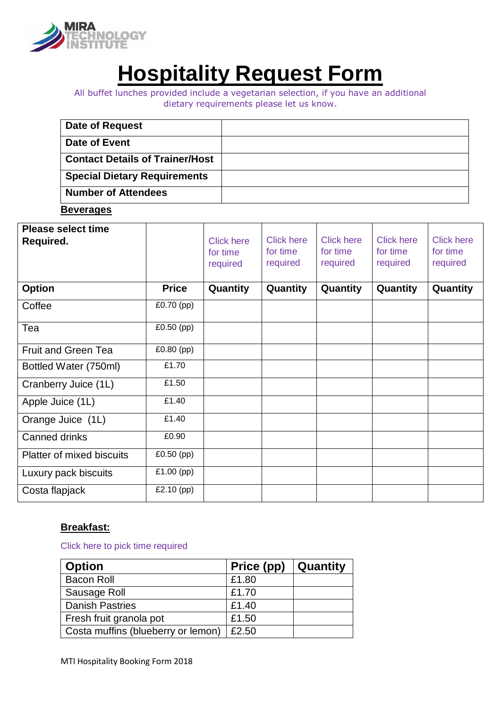

# **Hospitality Request Form**

All buffet lunches provided include a vegetarian selection, if you have an additional dietary requirements please let us know.

| Date of Request                        |  |
|----------------------------------------|--|
| Date of Event                          |  |
| <b>Contact Details of Trainer/Host</b> |  |
| <b>Special Dietary Requirements</b>    |  |
| <b>Number of Attendees</b>             |  |

**Beverages** 

| <b>Please select time</b><br>Required. |              | <b>Click here</b><br>for time<br>required | <b>Click here</b><br>for time<br>required | <b>Click here</b><br>for time<br>required | <b>Click here</b><br>for time<br>required | <b>Click here</b><br>for time<br>required |
|----------------------------------------|--------------|-------------------------------------------|-------------------------------------------|-------------------------------------------|-------------------------------------------|-------------------------------------------|
| <b>Option</b>                          | <b>Price</b> | Quantity                                  | Quantity                                  | Quantity                                  | Quantity                                  | Quantity                                  |
| Coffee                                 | £0.70 $(pp)$ |                                           |                                           |                                           |                                           |                                           |
| Tea                                    | $£0.50$ (pp) |                                           |                                           |                                           |                                           |                                           |
| <b>Fruit and Green Tea</b>             | £0.80 (pp)   |                                           |                                           |                                           |                                           |                                           |
| Bottled Water (750ml)                  | £1.70        |                                           |                                           |                                           |                                           |                                           |
| Cranberry Juice (1L)                   | £1.50        |                                           |                                           |                                           |                                           |                                           |
| Apple Juice (1L)                       | £1.40        |                                           |                                           |                                           |                                           |                                           |
| Orange Juice (1L)                      | £1.40        |                                           |                                           |                                           |                                           |                                           |
| Canned drinks                          | £0.90        |                                           |                                           |                                           |                                           |                                           |
| <b>Platter of mixed biscuits</b>       | £0.50 (pp)   |                                           |                                           |                                           |                                           |                                           |
| Luxury pack biscuits                   | £1.00 $(pp)$ |                                           |                                           |                                           |                                           |                                           |
| Costa flapjack                         | £2.10 $(pp)$ |                                           |                                           |                                           |                                           |                                           |

# **Breakfast:**

Click here to pick time required

| <b>Option</b>                      | Price (pp) | Quantity |
|------------------------------------|------------|----------|
| <b>Bacon Roll</b>                  | £1.80      |          |
| Sausage Roll                       | £1.70      |          |
| <b>Danish Pastries</b>             | £1.40      |          |
| Fresh fruit granola pot            | £1.50      |          |
| Costa muffins (blueberry or lemon) | £2.50      |          |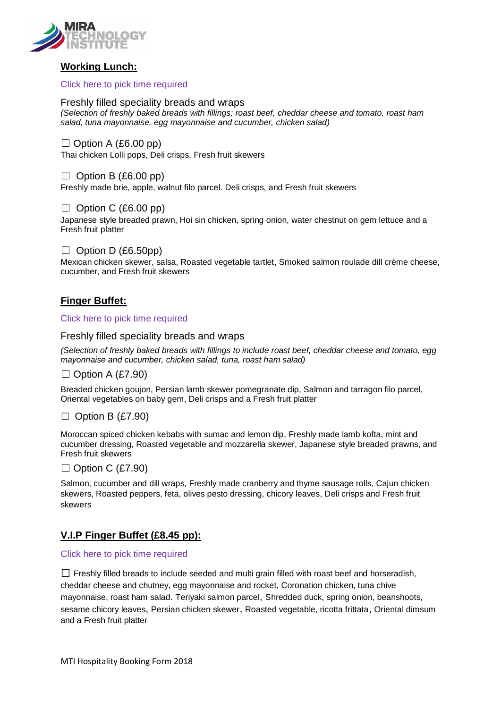

# **Working Lunch:**

Click here to pick time required

Freshly filled speciality breads and wraps *(Selection of freshly baked breads with fillings; roast beef, cheddar cheese and tomato, roast ham salad, tuna mayonnaise, egg mayonnaise and cucumber, chicken salad)*

 $\Box$  Option A (£6.00 pp) Thai chicken Lolli pops, Deli crisps, Fresh fruit skewers

 $\Box$  Option B (£6.00 pp) Freshly made brie, apple, walnut filo parcel. Deli crisps, and Fresh fruit skewers

 $\Box$  Option C (£6.00 pp) Japanese style breaded prawn, Hoi sin chicken, spring onion, water chestnut on gem lettuce and a Fresh fruit platter

 $\Box$  Option D (£6.50pp) Mexican chicken skewer, salsa, Roasted vegetable tartlet, Smoked salmon roulade dill crème cheese, cucumber, and Fresh fruit skewers

# **Finger Buffet:**

Click here to pick time required

Freshly filled speciality breads and wraps

*(Selection of freshly baked breads with fillings to include roast beef, cheddar cheese and tomato, egg mayonnaise and cucumber, chicken salad, tuna, roast ham salad)*

 $\Box$  Option A (£7.90)

Breaded chicken goujon, Persian lamb skewer pomegranate dip, Salmon and tarragon filo parcel, Oriental vegetables on baby gem, Deli crisps and a Fresh fruit platter

# $\Box$  Option B (£7.90)

Moroccan spiced chicken kebabs with sumac and lemon dip, Freshly made lamb kofta, mint and cucumber dressing, Roasted vegetable and mozzarella skewer, Japanese style breaded prawns, and Fresh fruit skewers

## $\Box$  Option C (£7.90)

Salmon, cucumber and dill wraps, Freshly made cranberry and thyme sausage rolls, Cajun chicken skewers, Roasted peppers, feta, olives pesto dressing, chicory leaves, Deli crisps and Fresh fruit skewers

# **V.I.P Finger Buffet (£8.45 pp):**

#### Click here to pick time required

 $\Box$  Freshly filled breads to include seeded and multi grain filled with roast beef and horseradish, cheddar cheese and chutney, egg mayonnaise and rocket, Coronation chicken, tuna chive mayonnaise, roast ham salad. Teriyaki salmon parcel, Shredded duck, spring onion, beanshoots, sesame chicory leaves, Persian chicken skewer, Roasted vegetable, ricotta frittata, Oriental dimsum and a Fresh fruit platter